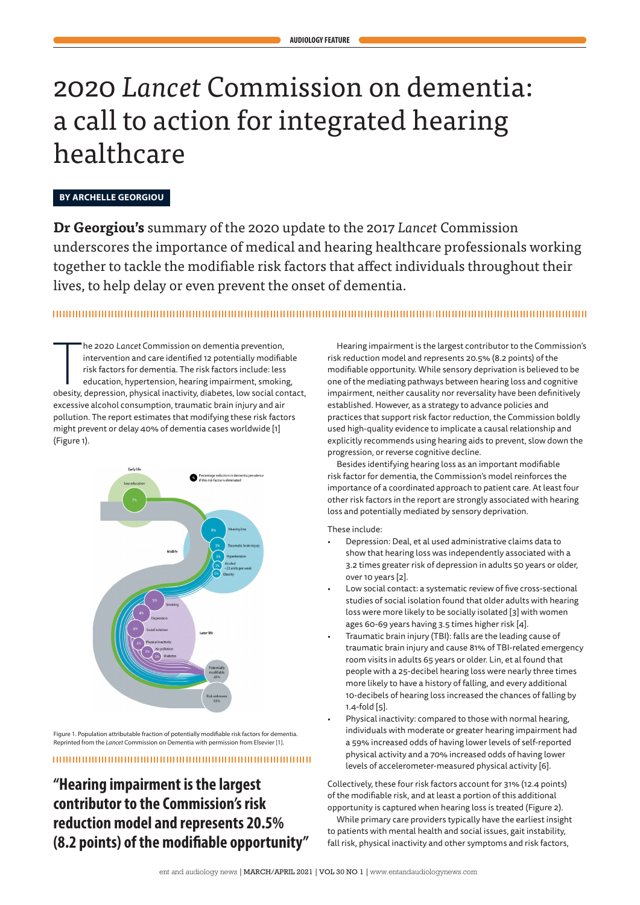# 2020 *Lancet* Commission on dementia: a call to action for integrated hearing healthcare

# **BY ARCHELLE GEORGIOU**

**Dr Georgiou's** summary of the 2020 update to the 2017 *Lancet* Commission underscores the importance of medical and hearing healthcare professionals working together to tackle the modifiable risk factors that affect individuals throughout their lives, to help delay or even prevent the onset of dementia.

# 

The 2020 Lancet Commission on dementia prevention,<br>intervention and care identified 12 potentially modifiable<br>risk factors for dementia. The risk factors include: less<br>education, hypertension, hearing impairment, smoking,<br> he 2020 *Lancet* Commission on dementia prevention, intervention and care identified 12 potentially modifiable risk factors for dementia. The risk factors include: less education, hypertension, hearing impairment, smoking, excessive alcohol consumption, traumatic brain injury and air pollution. The report estimates that modifying these risk factors might prevent or delay 40% of dementia cases worldwide [1] (Figure 1).



Figure 1. Population attributable fraction of potentially modifiable risk factors for dementia. Reprinted from the *Lancet* Commission on Dementia with permission from Elsevier [1].

# 

# **"Hearing impairment is the largest contributor to the Commission's risk reduction model and represents 20.5% (8.2 points) of the modifiable opportunity"**

Hearing impairment is the largest contributor to the Commission's risk reduction model and represents 20.5% (8.2 points) of the modifiable opportunity. While sensory deprivation is believed to be one of the mediating pathways between hearing loss and cognitive impairment, neither causality nor reversality have been definitively established. However, as a strategy to advance policies and practices that support risk factor reduction, the Commission boldly used high-quality evidence to implicate a causal relationship and explicitly recommends using hearing aids to prevent, slow down the progression, or reverse cognitive decline.

Besides identifying hearing loss as an important modifiable risk factor for dementia, the Commission's model reinforces the importance of a coordinated approach to patient care. At least four other risk factors in the report are strongly associated with hearing loss and potentially mediated by sensory deprivation.

These include:

- Depression: Deal, et al used administrative claims data to show that hearing loss was independently associated with a 3.2 times greater risk of depression in adults 50 years or older, over 10 years [2].
- Low social contact: a systematic review of five cross-sectional studies of social isolation found that older adults with hearing loss were more likely to be socially isolated [3] with women ages 60-69 years having 3.5 times higher risk [4].
- Traumatic brain injury (TBI): falls are the leading cause of traumatic brain injury and cause 81% of TBI-related emergency room visits in adults 65 years or older. Lin, et al found that people with a 25-decibel hearing loss were nearly three times more likely to have a history of falling, and every additional 10-decibels of hearing loss increased the chances of falling by 1.4-fold [5].
- Physical inactivity: compared to those with normal hearing, individuals with moderate or greater hearing impairment had a 59% increased odds of having lower levels of self-reported physical activity and a 70% increased odds of having lower levels of accelerometer-measured physical activity [6].

Collectively, these four risk factors account for 31% (12.4 points) of the modifiable risk, and at least a portion of this additional opportunity is captured when hearing loss is treated (Figure 2).

While primary care providers typically have the earliest insight to patients with mental health and social issues, gait instability, fall risk, physical inactivity and other symptoms and risk factors,